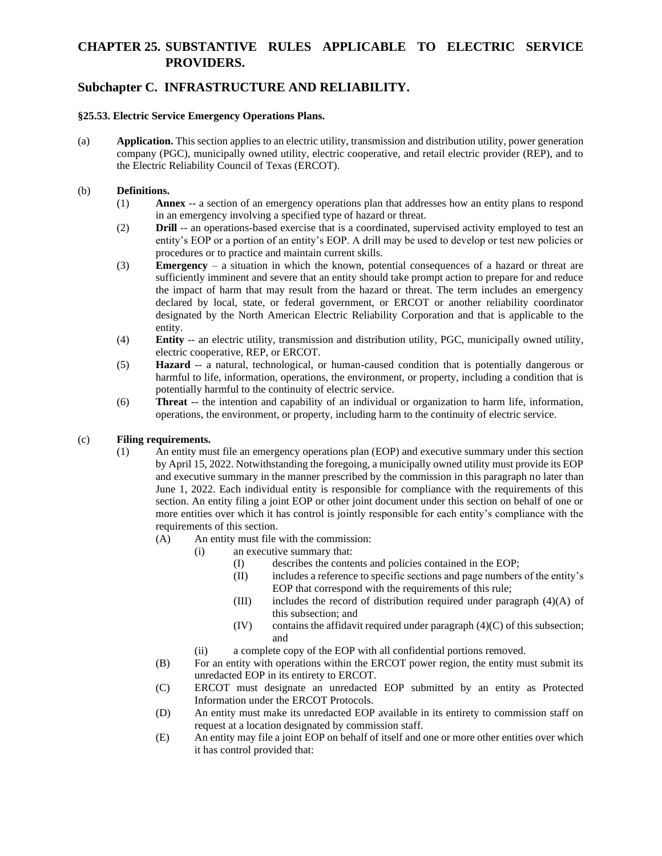### **Subchapter C. INFRASTRUCTURE AND RELIABILITY.**

#### **§25.53. Electric Service Emergency Operations Plans.**

(a) **Application.** This section applies to an electric utility, transmission and distribution utility, power generation company (PGC), municipally owned utility, electric cooperative, and retail electric provider (REP), and to the Electric Reliability Council of Texas (ERCOT).

#### (b) **Definitions.**

- (1) **Annex** -- a section of an emergency operations plan that addresses how an entity plans to respond in an emergency involving a specified type of hazard or threat.
- (2) **Drill** -- an operations-based exercise that is a coordinated, supervised activity employed to test an entity's EOP or a portion of an entity's EOP. A drill may be used to develop or test new policies or procedures or to practice and maintain current skills.
- (3) **Emergency** a situation in which the known, potential consequences of a hazard or threat are sufficiently imminent and severe that an entity should take prompt action to prepare for and reduce the impact of harm that may result from the hazard or threat. The term includes an emergency declared by local, state, or federal government, or ERCOT or another reliability coordinator designated by the North American Electric Reliability Corporation and that is applicable to the entity.
- (4) **Entity** -- an electric utility, transmission and distribution utility, PGC, municipally owned utility, electric cooperative, REP, or ERCOT.
- (5) **Hazard** -- a natural, technological, or human-caused condition that is potentially dangerous or harmful to life, information, operations, the environment, or property, including a condition that is potentially harmful to the continuity of electric service.
- (6) **Threat** -- the intention and capability of an individual or organization to harm life, information, operations, the environment, or property, including harm to the continuity of electric service.

#### (c) **Filing requirements.**

- (1) An entity must file an emergency operations plan (EOP) and executive summary under this section by April 15, 2022. Notwithstanding the foregoing, a municipally owned utility must provide its EOP and executive summary in the manner prescribed by the commission in this paragraph no later than June 1, 2022. Each individual entity is responsible for compliance with the requirements of this section. An entity filing a joint EOP or other joint document under this section on behalf of one or more entities over which it has control is jointly responsible for each entity's compliance with the requirements of this section.
	- (A) An entity must file with the commission:
		- (i) an executive summary that:
			- (I) describes the contents and policies contained in the EOP;
			- (II) includes a reference to specific sections and page numbers of the entity's EOP that correspond with the requirements of this rule;
			- (III) includes the record of distribution required under paragraph (4)(A) of this subsection; and
			- $(IV)$  contains the affidavit required under paragraph  $(4)(C)$  of this subsection; and
		- (ii) a complete copy of the EOP with all confidential portions removed.
	- (B) For an entity with operations within the ERCOT power region, the entity must submit its unredacted EOP in its entirety to ERCOT.
	- (C) ERCOT must designate an unredacted EOP submitted by an entity as Protected Information under the ERCOT Protocols.
	- (D) An entity must make its unredacted EOP available in its entirety to commission staff on request at a location designated by commission staff.
	- (E) An entity may file a joint EOP on behalf of itself and one or more other entities over which it has control provided that: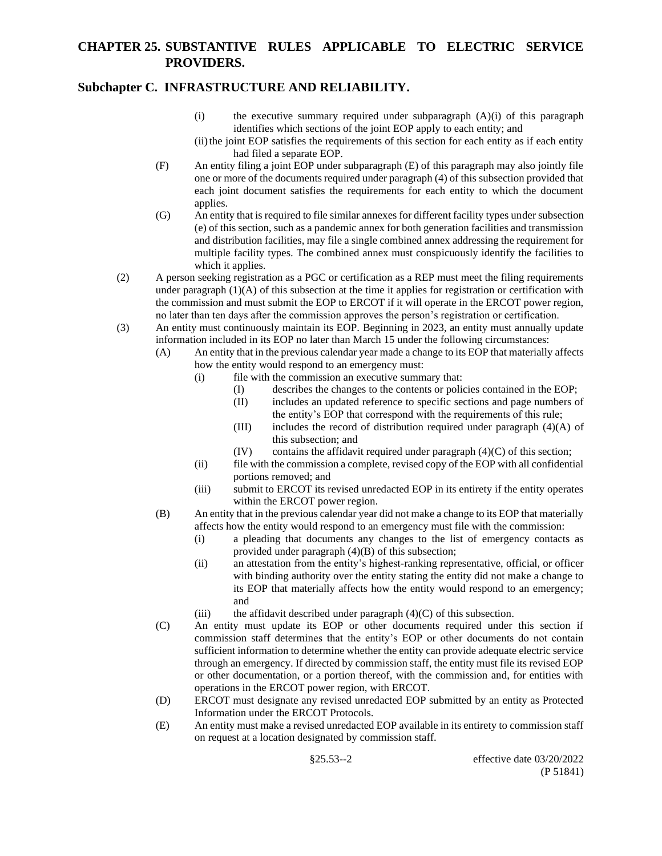#### **Subchapter C. INFRASTRUCTURE AND RELIABILITY.**

- (i) the executive summary required under subparagraph (A)(i) of this paragraph identifies which sections of the joint EOP apply to each entity; and
- (ii) the joint EOP satisfies the requirements of this section for each entity as if each entity had filed a separate EOP.
- (F) An entity filing a joint EOP under subparagraph (E) of this paragraph may also jointly file one or more of the documents required under paragraph (4) of this subsection provided that each joint document satisfies the requirements for each entity to which the document applies.
- (G) An entity that is required to file similar annexes for different facility types under subsection (e) of this section, such as a pandemic annex for both generation facilities and transmission and distribution facilities, may file a single combined annex addressing the requirement for multiple facility types. The combined annex must conspicuously identify the facilities to which it applies.
- (2) A person seeking registration as a PGC or certification as a REP must meet the filing requirements under paragraph  $(1)(A)$  of this subsection at the time it applies for registration or certification with the commission and must submit the EOP to ERCOT if it will operate in the ERCOT power region, no later than ten days after the commission approves the person's registration or certification.
- (3) An entity must continuously maintain its EOP. Beginning in 2023, an entity must annually update information included in its EOP no later than March 15 under the following circumstances:
	- (A) An entity that in the previous calendar year made a change to its EOP that materially affects how the entity would respond to an emergency must:
		- (i) file with the commission an executive summary that:
			- (I) describes the changes to the contents or policies contained in the EOP;
			- (II) includes an updated reference to specific sections and page numbers of the entity's EOP that correspond with the requirements of this rule;
			- (III) includes the record of distribution required under paragraph  $(4)(A)$  of this subsection; and
			- $(IV)$  contains the affidavit required under paragraph  $(4)(C)$  of this section;
		- (ii) file with the commission a complete, revised copy of the EOP with all confidential portions removed; and
		- (iii) submit to ERCOT its revised unredacted EOP in its entirety if the entity operates within the ERCOT power region.
	- (B) An entity that in the previous calendar year did not make a change to its EOP that materially affects how the entity would respond to an emergency must file with the commission:
		- (i) a pleading that documents any changes to the list of emergency contacts as provided under paragraph (4)(B) of this subsection;
		- (ii) an attestation from the entity's highest-ranking representative, official, or officer with binding authority over the entity stating the entity did not make a change to its EOP that materially affects how the entity would respond to an emergency; and
		- (iii) the affidavit described under paragraph  $(4)(C)$  of this subsection.
	- (C) An entity must update its EOP or other documents required under this section if commission staff determines that the entity's EOP or other documents do not contain sufficient information to determine whether the entity can provide adequate electric service through an emergency. If directed by commission staff, the entity must file its revised EOP or other documentation, or a portion thereof, with the commission and, for entities with operations in the ERCOT power region, with ERCOT.
	- (D) ERCOT must designate any revised unredacted EOP submitted by an entity as Protected Information under the ERCOT Protocols.
	- (E) An entity must make a revised unredacted EOP available in its entirety to commission staff on request at a location designated by commission staff.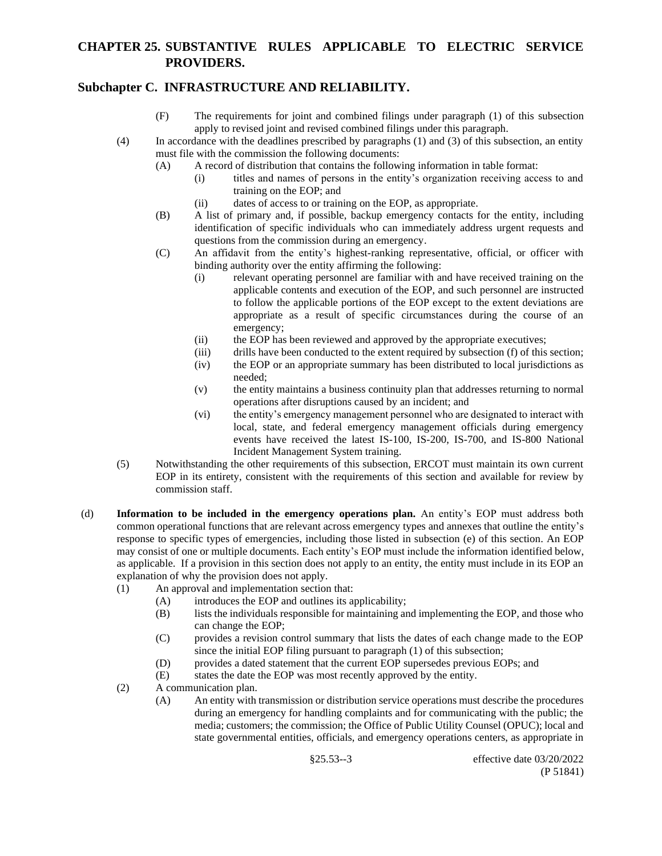### **Subchapter C. INFRASTRUCTURE AND RELIABILITY.**

- (F) The requirements for joint and combined filings under paragraph (1) of this subsection apply to revised joint and revised combined filings under this paragraph.
- (4) In accordance with the deadlines prescribed by paragraphs (1) and (3) of this subsection, an entity must file with the commission the following documents:
	- (A) A record of distribution that contains the following information in table format:
		- (i) titles and names of persons in the entity's organization receiving access to and training on the EOP; and
		- (ii) dates of access to or training on the EOP, as appropriate.
	- (B) A list of primary and, if possible, backup emergency contacts for the entity, including identification of specific individuals who can immediately address urgent requests and questions from the commission during an emergency.
	- (C) An affidavit from the entity's highest-ranking representative, official, or officer with binding authority over the entity affirming the following:
		- (i) relevant operating personnel are familiar with and have received training on the applicable contents and execution of the EOP, and such personnel are instructed to follow the applicable portions of the EOP except to the extent deviations are appropriate as a result of specific circumstances during the course of an emergency;
		- (ii) the EOP has been reviewed and approved by the appropriate executives;
		- (iii) drills have been conducted to the extent required by subsection (f) of this section;
		- (iv) the EOP or an appropriate summary has been distributed to local jurisdictions as needed;
		- (v) the entity maintains a business continuity plan that addresses returning to normal operations after disruptions caused by an incident; and
		- (vi) the entity's emergency management personnel who are designated to interact with local, state, and federal emergency management officials during emergency events have received the latest IS-100, IS-200, IS-700, and IS-800 National Incident Management System training.
- (5) Notwithstanding the other requirements of this subsection, ERCOT must maintain its own current EOP in its entirety, consistent with the requirements of this section and available for review by commission staff.
- (d) **Information to be included in the emergency operations plan.** An entity's EOP must address both common operational functions that are relevant across emergency types and annexes that outline the entity's response to specific types of emergencies, including those listed in subsection (e) of this section. An EOP may consist of one or multiple documents. Each entity's EOP must include the information identified below, as applicable. If a provision in this section does not apply to an entity, the entity must include in its EOP an explanation of why the provision does not apply.
	- (1) An approval and implementation section that:
		- (A) introduces the EOP and outlines its applicability;
		- (B) lists the individuals responsible for maintaining and implementing the EOP, and those who can change the EOP;
		- (C) provides a revision control summary that lists the dates of each change made to the EOP since the initial EOP filing pursuant to paragraph (1) of this subsection;
		- (D) provides a dated statement that the current EOP supersedes previous EOPs; and
		- (E) states the date the EOP was most recently approved by the entity.
	- (2) A communication plan.
		- (A) An entity with transmission or distribution service operations must describe the procedures during an emergency for handling complaints and for communicating with the public; the media; customers; the commission; the Office of Public Utility Counsel (OPUC); local and state governmental entities, officials, and emergency operations centers, as appropriate in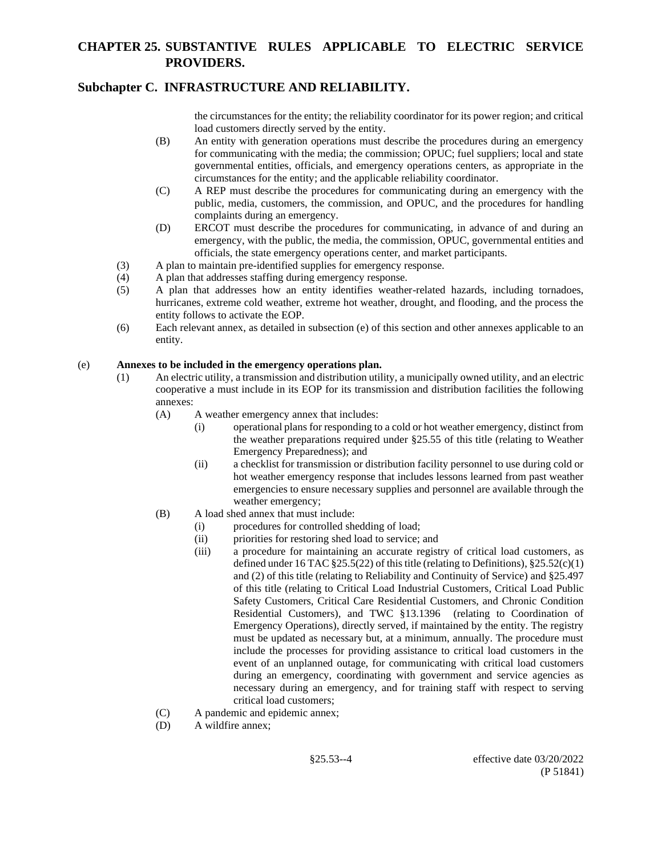## **Subchapter C. INFRASTRUCTURE AND RELIABILITY.**

the circumstances for the entity; the reliability coordinator for its power region; and critical load customers directly served by the entity.

- (B) An entity with generation operations must describe the procedures during an emergency for communicating with the media; the commission; OPUC; fuel suppliers; local and state governmental entities, officials, and emergency operations centers, as appropriate in the circumstances for the entity; and the applicable reliability coordinator.
- (C) A REP must describe the procedures for communicating during an emergency with the public, media, customers, the commission, and OPUC, and the procedures for handling complaints during an emergency.
- (D) ERCOT must describe the procedures for communicating, in advance of and during an emergency, with the public, the media, the commission, OPUC, governmental entities and officials, the state emergency operations center, and market participants.
- (3) A plan to maintain pre-identified supplies for emergency response.
- (4) A plan that addresses staffing during emergency response.
- (5) A plan that addresses how an entity identifies weather-related hazards, including tornadoes, hurricanes, extreme cold weather, extreme hot weather, drought, and flooding, and the process the entity follows to activate the EOP.
- (6) Each relevant annex, as detailed in subsection (e) of this section and other annexes applicable to an entity.

#### (e) **Annexes to be included in the emergency operations plan.**

- (1) An electric utility, a transmission and distribution utility, a municipally owned utility, and an electric cooperative a must include in its EOP for its transmission and distribution facilities the following annexes:
	- (A) A weather emergency annex that includes:
		- (i) operational plans for responding to a cold or hot weather emergency, distinct from the weather preparations required under §25.55 of this title (relating to Weather Emergency Preparedness); and
		- (ii) a checklist for transmission or distribution facility personnel to use during cold or hot weather emergency response that includes lessons learned from past weather emergencies to ensure necessary supplies and personnel are available through the weather emergency;
	- (B) A load shed annex that must include:
		- (i) procedures for controlled shedding of load;
		- (ii) priorities for restoring shed load to service; and
		- (iii) a procedure for maintaining an accurate registry of critical load customers, as defined under 16 TAC  $\S 25.5(22)$  of this title (relating to Definitions),  $\S 25.52(c)(1)$ and (2) of this title (relating to Reliability and Continuity of Service) and §25.497 of this title (relating to Critical Load Industrial Customers, Critical Load Public Safety Customers, Critical Care Residential Customers, and Chronic Condition Residential Customers), and TWC §13.1396 (relating to Coordination of Emergency Operations), directly served, if maintained by the entity. The registry must be updated as necessary but, at a minimum, annually. The procedure must include the processes for providing assistance to critical load customers in the event of an unplanned outage, for communicating with critical load customers during an emergency, coordinating with government and service agencies as necessary during an emergency, and for training staff with respect to serving critical load customers;
	- (C) A pandemic and epidemic annex;
	- (D) A wildfire annex;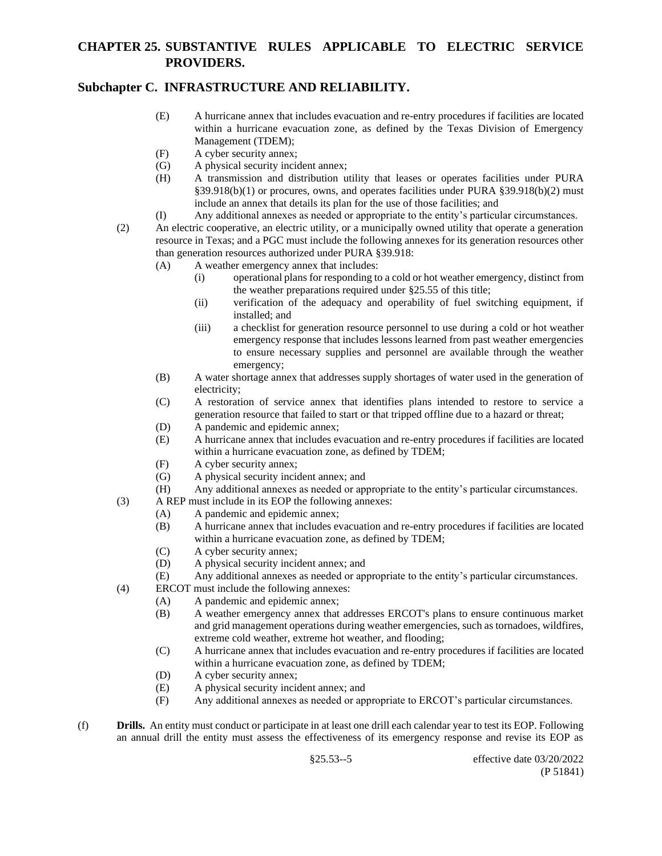## **Subchapter C. INFRASTRUCTURE AND RELIABILITY.**

- (E) A hurricane annex that includes evacuation and re-entry procedures if facilities are located within a hurricane evacuation zone, as defined by the Texas Division of Emergency Management (TDEM);
- (F) A cyber security annex;
- (G) A physical security incident annex;
- (H) A transmission and distribution utility that leases or operates facilities under PURA §39.918(b)(1) or procures, owns, and operates facilities under PURA §39.918(b)(2) must include an annex that details its plan for the use of those facilities; and
- (I) Any additional annexes as needed or appropriate to the entity's particular circumstances.
- (2) An electric cooperative, an electric utility, or a municipally owned utility that operate a generation resource in Texas; and a PGC must include the following annexes for its generation resources other than generation resources authorized under PURA §39.918:
	- (A) A weather emergency annex that includes:
		- (i) operational plans for responding to a cold or hot weather emergency, distinct from the weather preparations required under §25.55 of this title;
		- (ii) verification of the adequacy and operability of fuel switching equipment, if installed; and
		- (iii) a checklist for generation resource personnel to use during a cold or hot weather emergency response that includes lessons learned from past weather emergencies to ensure necessary supplies and personnel are available through the weather emergency;
	- (B) A water shortage annex that addresses supply shortages of water used in the generation of electricity;
	- (C) A restoration of service annex that identifies plans intended to restore to service a generation resource that failed to start or that tripped offline due to a hazard or threat;
	- (D) A pandemic and epidemic annex;
	- (E) A hurricane annex that includes evacuation and re-entry procedures if facilities are located within a hurricane evacuation zone, as defined by TDEM;
	- (F) A cyber security annex;
	- (G) A physical security incident annex; and
	- (H) Any additional annexes as needed or appropriate to the entity's particular circumstances.
- (3) A REP must include in its EOP the following annexes:
	- (A) A pandemic and epidemic annex;
	- (B) A hurricane annex that includes evacuation and re-entry procedures if facilities are located within a hurricane evacuation zone, as defined by TDEM;
	- (C) A cyber security annex;
	- (D) A physical security incident annex; and
	- (E) Any additional annexes as needed or appropriate to the entity's particular circumstances.
- (4) ERCOT must include the following annexes:
	- (A) A pandemic and epidemic annex;
	- (B) A weather emergency annex that addresses ERCOT's plans to ensure continuous market and grid management operations during weather emergencies, such as tornadoes, wildfires, extreme cold weather, extreme hot weather, and flooding;
	- (C) A hurricane annex that includes evacuation and re-entry procedures if facilities are located within a hurricane evacuation zone, as defined by TDEM;
	- (D) A cyber security annex;
	- (E) A physical security incident annex; and
	- (F) Any additional annexes as needed or appropriate to ERCOT's particular circumstances.
- (f) **Drills.** An entity must conduct or participate in at least one drill each calendar year to test its EOP. Following an annual drill the entity must assess the effectiveness of its emergency response and revise its EOP as